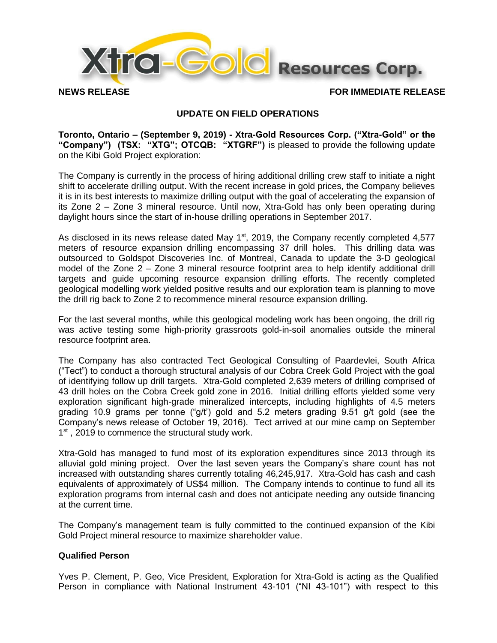

# **UPDATE ON FIELD OPERATIONS**

**Toronto, Ontario – (September 9, 2019) - Xtra-Gold Resources Corp. ("Xtra-Gold" or the "Company") (TSX: "XTG"; OTCQB: "XTGRF")** is pleased to provide the following update on the Kibi Gold Project exploration:

The Company is currently in the process of hiring additional drilling crew staff to initiate a night shift to accelerate drilling output. With the recent increase in gold prices, the Company believes it is in its best interests to maximize drilling output with the goal of accelerating the expansion of its Zone 2 – Zone 3 mineral resource. Until now, Xtra-Gold has only been operating during daylight hours since the start of in-house drilling operations in September 2017.

As disclosed in its news release dated May  $1<sup>st</sup>$ , 2019, the Company recently completed 4,577 meters of resource expansion drilling encompassing 37 drill holes. This drilling data was outsourced to Goldspot Discoveries Inc. of Montreal, Canada to update the 3-D geological model of the Zone 2 – Zone 3 mineral resource footprint area to help identify additional drill targets and guide upcoming resource expansion drilling efforts. The recently completed geological modelling work yielded positive results and our exploration team is planning to move the drill rig back to Zone 2 to recommence mineral resource expansion drilling.

For the last several months, while this geological modeling work has been ongoing, the drill rig was active testing some high-priority grassroots gold-in-soil anomalies outside the mineral resource footprint area.

The Company has also contracted Tect Geological Consulting of Paardevlei, South Africa ("Tect") to conduct a thorough structural analysis of our Cobra Creek Gold Project with the goal of identifying follow up drill targets. Xtra-Gold completed 2,639 meters of drilling comprised of 43 drill holes on the Cobra Creek gold zone in 2016. Initial drilling efforts yielded some very exploration significant high-grade mineralized intercepts, including highlights of 4.5 meters grading 10.9 grams per tonne ("g/t') gold and 5.2 meters grading 9.51 g/t gold (see the Company's news release of October 19, 2016). Tect arrived at our mine camp on September 1<sup>st</sup>, 2019 to commence the structural study work.

Xtra-Gold has managed to fund most of its exploration expenditures since 2013 through its alluvial gold mining project. Over the last seven years the Company's share count has not increased with outstanding shares currently totaling 46,245,917. Xtra-Gold has cash and cash equivalents of approximately of US\$4 million. The Company intends to continue to fund all its exploration programs from internal cash and does not anticipate needing any outside financing at the current time.

The Company's management team is fully committed to the continued expansion of the Kibi Gold Project mineral resource to maximize shareholder value.

# **Qualified Person**

Yves P. Clement, P. Geo, Vice President, Exploration for Xtra-Gold is acting as the Qualified Person in compliance with National Instrument 43-101 ("NI 43-101") with respect to this